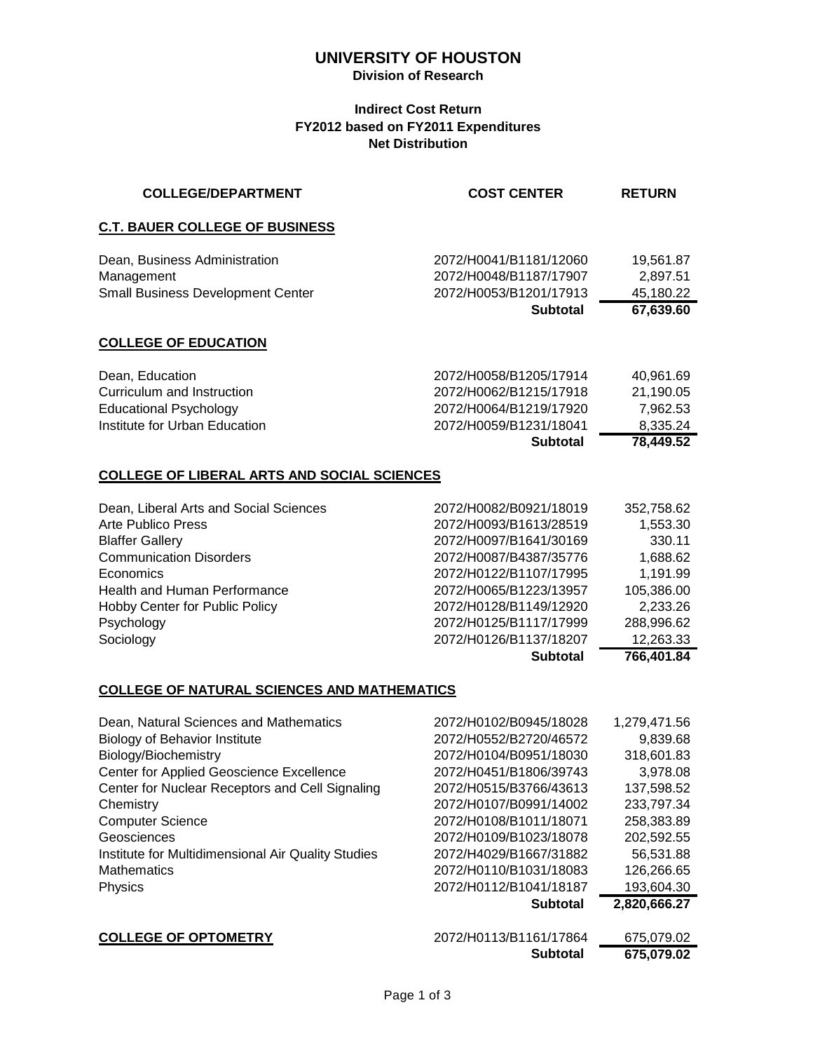# **UNIVERSITY OF HOUSTON**

#### **Division of Research**

### **Indirect Cost Return FY2012 based on FY2011 Expenditures Net Distribution**

| <b>COLLEGE/DEPARTMENT</b>                          | <b>COST CENTER</b>     | <b>RETURN</b> |
|----------------------------------------------------|------------------------|---------------|
| <b>C.T. BAUER COLLEGE OF BUSINESS</b>              |                        |               |
| Dean, Business Administration                      | 2072/H0041/B1181/12060 | 19,561.87     |
| Management                                         | 2072/H0048/B1187/17907 | 2,897.51      |
| <b>Small Business Development Center</b>           | 2072/H0053/B1201/17913 | 45,180.22     |
|                                                    | <b>Subtotal</b>        | 67,639.60     |
| <b>COLLEGE OF EDUCATION</b>                        |                        |               |
| Dean, Education                                    | 2072/H0058/B1205/17914 | 40,961.69     |
| Curriculum and Instruction                         | 2072/H0062/B1215/17918 | 21,190.05     |
| <b>Educational Psychology</b>                      | 2072/H0064/B1219/17920 | 7,962.53      |
| Institute for Urban Education                      | 2072/H0059/B1231/18041 | 8,335.24      |
|                                                    | <b>Subtotal</b>        | 78,449.52     |
| <b>COLLEGE OF LIBERAL ARTS AND SOCIAL SCIENCES</b> |                        |               |
| Dean, Liberal Arts and Social Sciences             | 2072/H0082/B0921/18019 | 352,758.62    |
| <b>Arte Publico Press</b>                          | 2072/H0093/B1613/28519 | 1,553.30      |
| <b>Blaffer Gallery</b>                             | 2072/H0097/B1641/30169 | 330.11        |
| <b>Communication Disorders</b>                     | 2072/H0087/B4387/35776 | 1,688.62      |
| Economics                                          | 2072/H0122/B1107/17995 | 1,191.99      |
| <b>Health and Human Performance</b>                | 2072/H0065/B1223/13957 | 105,386.00    |
| Hobby Center for Public Policy                     | 2072/H0128/B1149/12920 | 2,233.26      |
| Psychology                                         | 2072/H0125/B1117/17999 | 288,996.62    |
| Sociology                                          | 2072/H0126/B1137/18207 | 12,263.33     |
|                                                    | <b>Subtotal</b>        | 766,401.84    |
| <b>COLLEGE OF NATURAL SCIENCES AND MATHEMATICS</b> |                        |               |
| Dean, Natural Sciences and Mathematics             | 2072/H0102/B0945/18028 | 1,279,471.56  |
| <b>Biology of Behavior Institute</b>               | 2072/H0552/B2720/46572 | 9,839.68      |
| Biology/Biochemistry                               | 2072/H0104/B0951/18030 | 318,601.83    |
| Center for Applied Geoscience Excellence           | 2072/H0451/B1806/39743 | 3,978.08      |
| Center for Nuclear Receptors and Cell Signaling    | 2072/H0515/B3766/43613 | 137,598.52    |
| Chemistry                                          | 2072/H0107/B0991/14002 | 233,797.34    |
| <b>Computer Science</b>                            | 2072/H0108/B1011/18071 | 258,383.89    |
| Geosciences                                        | 2072/H0109/B1023/18078 | 202,592.55    |

Institute for Multidimensional Air Quality Studies 2072/H4029/B1667/31882 56,531.88 Mathematics 2072/H0110/B1031/18083 126,266.65<br>Physics 2072/H0112/B1041/18187 193,604.30 Physics 2072/H0112/B1041/18187 **Subtotal 2,820,666.27**

|                             | Subtotal               | 675,079.02 |
|-----------------------------|------------------------|------------|
| <b>COLLEGE OF OPTOMETRY</b> | 2072/H0113/B1161/17864 | 675,079.02 |
|                             |                        |            |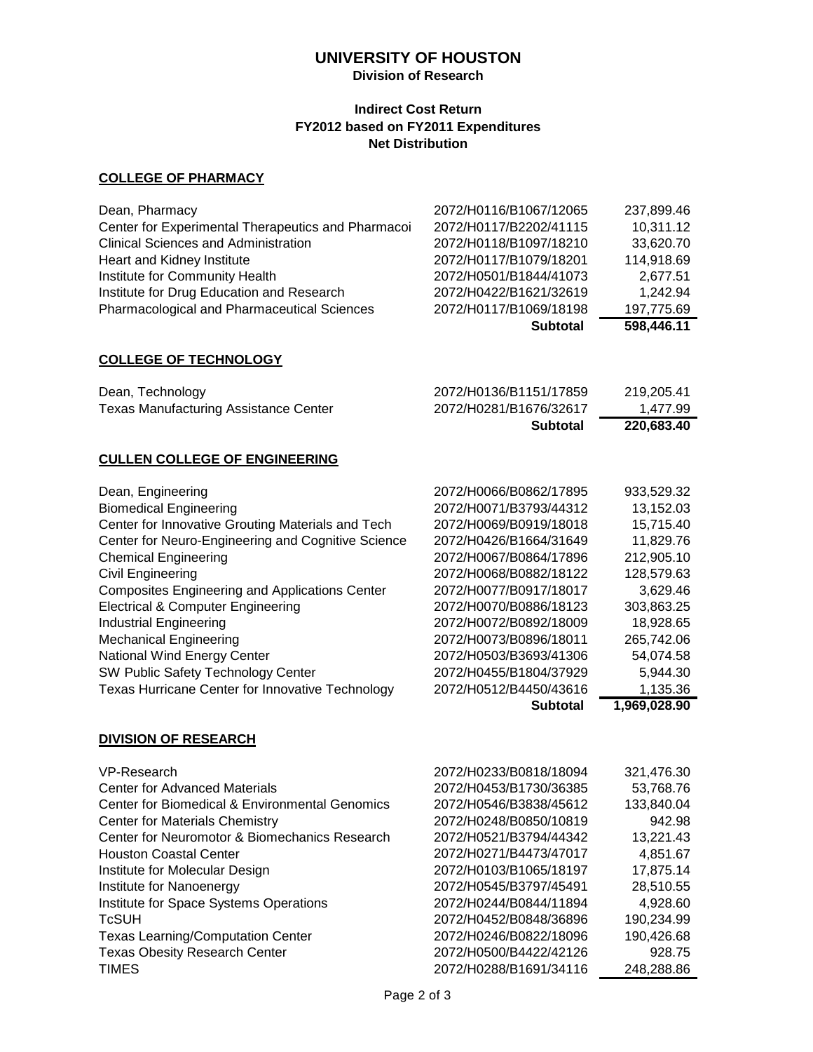# **UNIVERSITY OF HOUSTON**

### **Division of Research**

### **Indirect Cost Return FY2012 based on FY2011 Expenditures Net Distribution**

### **COLLEGE OF PHARMACY**

|                                                    | <b>Subtotal</b>        | 598,446.11 |
|----------------------------------------------------|------------------------|------------|
| Pharmacological and Pharmaceutical Sciences        | 2072/H0117/B1069/18198 | 197,775.69 |
| Institute for Drug Education and Research          | 2072/H0422/B1621/32619 | 1,242.94   |
| Institute for Community Health                     | 2072/H0501/B1844/41073 | 2,677.51   |
| Heart and Kidney Institute                         | 2072/H0117/B1079/18201 | 114,918.69 |
| <b>Clinical Sciences and Administration</b>        | 2072/H0118/B1097/18210 | 33,620.70  |
| Center for Experimental Therapeutics and Pharmacoi | 2072/H0117/B2202/41115 | 10,311.12  |
| Dean, Pharmacy                                     | 2072/H0116/B1067/12065 | 237,899.46 |
|                                                    |                        |            |

#### **COLLEGE OF TECHNOLOGY**

|                                              | Subtotal               | 220.683.40 |
|----------------------------------------------|------------------------|------------|
| <b>Texas Manufacturing Assistance Center</b> | 2072/H0281/B1676/32617 | 1.477.99   |
| Dean, Technology                             | 2072/H0136/B1151/17859 | 219.205.41 |

#### **CULLEN COLLEGE OF ENGINEERING**

|                                                         | <b>Subtotal</b>        | 1,969,028.90 |
|---------------------------------------------------------|------------------------|--------------|
| <b>Texas Hurricane Center for Innovative Technology</b> | 2072/H0512/B4450/43616 | 1,135.36     |
| SW Public Safety Technology Center                      | 2072/H0455/B1804/37929 | 5,944.30     |
| National Wind Energy Center                             | 2072/H0503/B3693/41306 | 54,074.58    |
| <b>Mechanical Engineering</b>                           | 2072/H0073/B0896/18011 | 265,742.06   |
| <b>Industrial Engineering</b>                           | 2072/H0072/B0892/18009 | 18,928.65    |
| Electrical & Computer Engineering                       | 2072/H0070/B0886/18123 | 303,863.25   |
| Composites Engineering and Applications Center          | 2072/H0077/B0917/18017 | 3.629.46     |
| Civil Engineering                                       | 2072/H0068/B0882/18122 | 128,579.63   |
| <b>Chemical Engineering</b>                             | 2072/H0067/B0864/17896 | 212,905.10   |
| Center for Neuro-Engineering and Cognitive Science      | 2072/H0426/B1664/31649 | 11,829.76    |
| Center for Innovative Grouting Materials and Tech       | 2072/H0069/B0919/18018 | 15,715.40    |
| <b>Biomedical Engineering</b>                           | 2072/H0071/B3793/44312 | 13,152.03    |
| Dean, Engineering                                       | 2072/H0066/B0862/17895 | 933,529.32   |

#### **DIVISION OF RESEARCH**

| VP-Research                                    | 2072/H0233/B0818/18094 | 321,476.30 |
|------------------------------------------------|------------------------|------------|
| <b>Center for Advanced Materials</b>           | 2072/H0453/B1730/36385 | 53.768.76  |
| Center for Biomedical & Environmental Genomics | 2072/H0546/B3838/45612 | 133,840.04 |
| <b>Center for Materials Chemistry</b>          | 2072/H0248/B0850/10819 | 942.98     |
| Center for Neuromotor & Biomechanics Research  | 2072/H0521/B3794/44342 | 13,221.43  |
| <b>Houston Coastal Center</b>                  | 2072/H0271/B4473/47017 | 4,851.67   |
| Institute for Molecular Design                 | 2072/H0103/B1065/18197 | 17,875.14  |
| Institute for Nanoenergy                       | 2072/H0545/B3797/45491 | 28,510.55  |
| Institute for Space Systems Operations         | 2072/H0244/B0844/11894 | 4,928.60   |
| <b>TcSUH</b>                                   | 2072/H0452/B0848/36896 | 190,234.99 |
| <b>Texas Learning/Computation Center</b>       | 2072/H0246/B0822/18096 | 190,426.68 |
| <b>Texas Obesity Research Center</b>           | 2072/H0500/B4422/42126 | 928.75     |
| <b>TIMES</b>                                   | 2072/H0288/B1691/34116 | 248,288.86 |